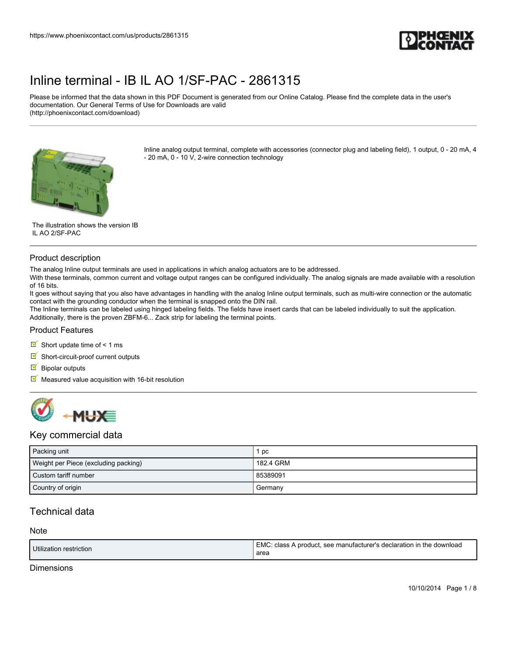

Please be informed that the data shown in this PDF Document is generated from our Online Catalog. Please find the complete data in the user's documentation. Our General Terms of Use for Downloads are valid (http://phoenixcontact.com/download)



Inline analog output terminal, complete with accessories (connector plug and labeling field), 1 output, 0 - 20 mA, 4 - 20 mA, 0 - 10 V, 2-wire connection technology

The illustration shows the version IB IL AO 2/SF-PAC

#### Product description

The analog Inline output terminals are used in applications in which analog actuators are to be addressed.

With these terminals, common current and voltage output ranges can be configured individually. The analog signals are made available with a resolution of 16 bits.

It goes without saying that you also have advantages in handling with the analog Inline output terminals, such as multi-wire connection or the automatic contact with the grounding conductor when the terminal is snapped onto the DIN rail.

The Inline terminals can be labeled using hinged labeling fields. The fields have insert cards that can be labeled individually to suit the application. Additionally, there is the proven ZBFM-6... Zack strip for labeling the terminal points.

#### Product Features

Short update time of  $\leq 1$  ms

- $\blacksquare$  Short-circuit-proof current outputs
- $\blacksquare$  Bipolar outputs
- $\blacksquare$  Measured value acquisition with 16-bit resolution



### Key commercial data

| Packing unit                         | рc        |
|--------------------------------------|-----------|
| Weight per Piece (excluding packing) | 182.4 GRM |
| Custom tariff number                 | 85389091  |
| Country of origin                    | Germany   |

## Technical data

| Utilization restriction | EMC: class A product, see manufacturer's declaration in the download<br>area |
|-------------------------|------------------------------------------------------------------------------|
|                         |                                                                              |

#### **Dimensions**

Note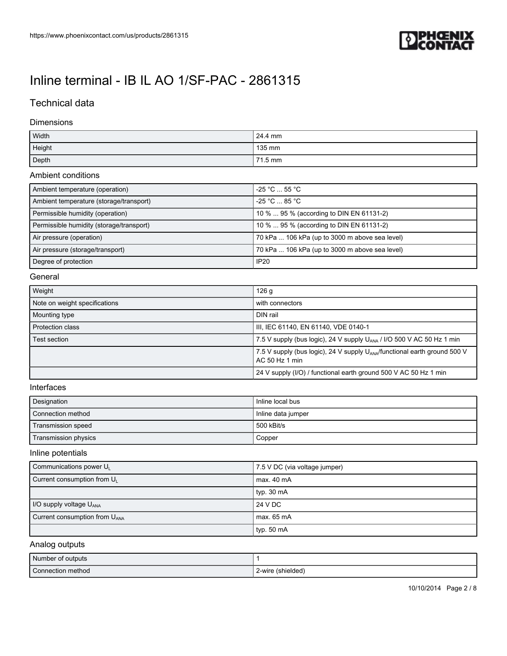

## Technical data

#### Dimensions

| Width  | 24.4 mm |
|--------|---------|
| Height | 135 mm  |
| Depth  | 71.5 mm |

#### Ambient conditions

| Ambient temperature (operation)          | $-25 °C$ 55 °C                                 |
|------------------------------------------|------------------------------------------------|
| Ambient temperature (storage/transport)  | $-25 °C \dots 85 °C$                           |
|                                          |                                                |
| Permissible humidity (operation)         | 10 %  95 % (according to DIN EN 61131-2)       |
| Permissible humidity (storage/transport) | 10 %  95 % (according to DIN EN 61131-2)       |
| Air pressure (operation)                 | 70 kPa  106 kPa (up to 3000 m above sea level) |
| Air pressure (storage/transport)         | 70 kPa  106 kPa (up to 3000 m above sea level) |
| Degree of protection                     | <b>IP20</b>                                    |

### General

| Weight                        | 126 <sub>g</sub>                                                                                        |
|-------------------------------|---------------------------------------------------------------------------------------------------------|
| Note on weight specifications | with connectors                                                                                         |
| Mounting type                 | DIN rail                                                                                                |
| Protection class              | III, IEC 61140, EN 61140, VDE 0140-1                                                                    |
| Test section                  | 7.5 V supply (bus logic), 24 V supply U <sub>ANA</sub> / I/O 500 V AC 50 Hz 1 min                       |
|                               | 7.5 V supply (bus logic), 24 V supply U <sub>ANA</sub> /functional earth ground 500 V<br>AC 50 Hz 1 min |
|                               | 24 V supply (I/O) / functional earth ground 500 V AC 50 Hz 1 min                                        |

#### Interfaces

| Designation          | Inline local bus   |
|----------------------|--------------------|
| Connection method    | Inline data jumper |
| Transmission speed   | 500 kBit/s         |
| Transmission physics | Copper             |

### Inline potentials

| Communications power $U_{L}$              | 7.5 V DC (via voltage jumper) |
|-------------------------------------------|-------------------------------|
| Current consumption from U <sub>1</sub>   | max. 40 mA                    |
|                                           | typ. $30 \text{ mA}$          |
| I/O supply voltage $U_{\text{ANA}}$       | 24 V DC                       |
| Current consumption from U <sub>ANA</sub> | max. 65 mA                    |
|                                           | typ. 50 $mA$                  |

## Analog outputs

| Number of outputs |                   |
|-------------------|-------------------|
| Connection method | 2-wire (shielded) |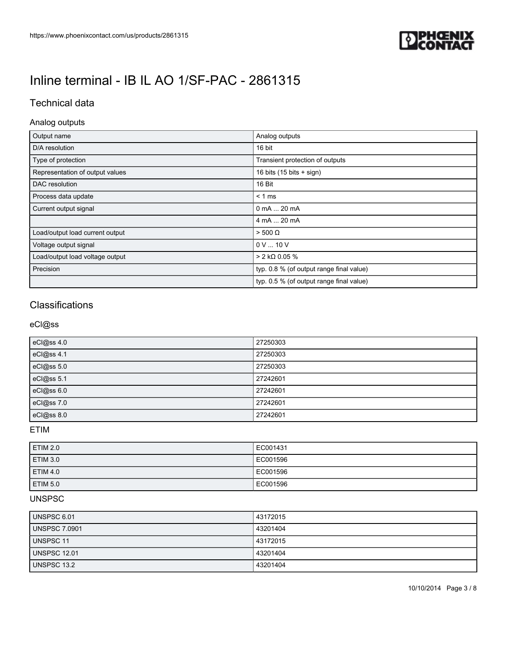

## Technical data

### Analog outputs

| Output name                     | Analog outputs                            |
|---------------------------------|-------------------------------------------|
| D/A resolution                  | 16 bit                                    |
| Type of protection              | Transient protection of outputs           |
| Representation of output values | 16 bits $(15 \text{ bits} + \text{sign})$ |
| DAC resolution                  | 16 Bit                                    |
| Process data update             | $< 1$ ms                                  |
| Current output signal           | 0 mA  20 mA                               |
|                                 | 4 mA  20 mA                               |
| Load/output load current output | $> 500 \Omega$                            |
| Voltage output signal           | 0V10V                                     |
| Load/output load voltage output | $>$ 2 kΩ 0.05 %                           |
| Precision                       | typ. 0.8 % (of output range final value)  |
|                                 | typ. 0.5 % (of output range final value)  |

## **Classifications**

### eCl@ss

| eCl@ss 4.0 | 27250303 |
|------------|----------|
| eCl@ss 4.1 | 27250303 |
| eCl@ss 5.0 | 27250303 |
| eCl@ss 5.1 | 27242601 |
| eCl@ss 6.0 | 27242601 |
| eCl@ss 7.0 | 27242601 |
| eCl@ss 8.0 | 27242601 |

## ETIM

| <b>ETIM 2.0</b> | EC001431 |
|-----------------|----------|
| <b>ETIM 3.0</b> | EC001596 |
| <b>ETIM 4.0</b> | EC001596 |
| <b>ETIM 5.0</b> | EC001596 |

### UNSPSC

| UNSPSC 6.01         | 43172015 |
|---------------------|----------|
| UNSPSC 7.0901       | 43201404 |
| UNSPSC 11           | 43172015 |
| <b>UNSPSC 12.01</b> | 43201404 |
| UNSPSC 13.2         | 43201404 |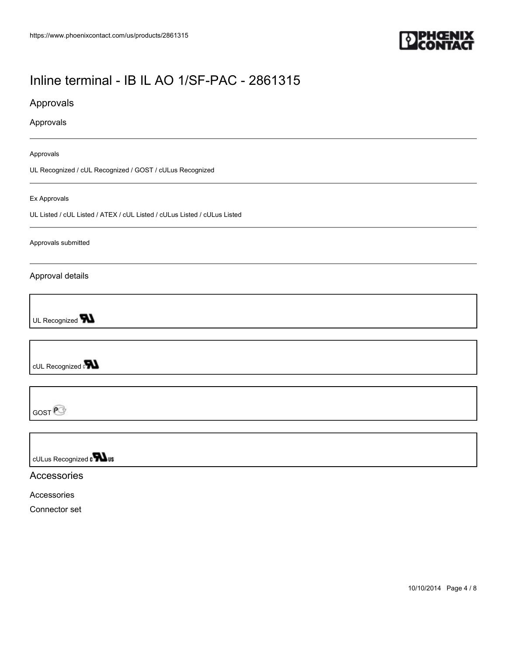

Approvals

Approvals

Approvals

UL Recognized / cUL Recognized / GOST / cULus Recognized

#### Ex Approvals

UL Listed / cUL Listed / ATEX / cUL Listed / cULus Listed / cULus Listed

Approvals submitted

Approval details

UL Recognized **W** 

cUL Recognized on

GOST<sup>@</sup>

cULus Recognized on **Was** 

Accessories

Accessories

Connector set

10/10/2014 Page 4 / 8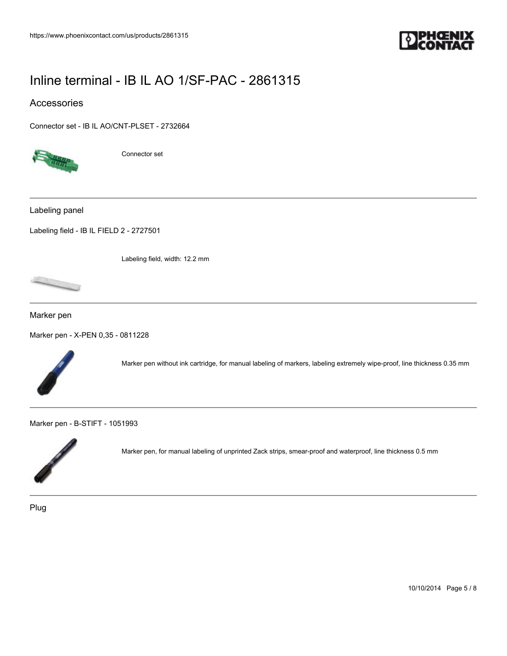

### Accessories

[Connector set - IB IL AO/CNT-PLSET - 2732664](https://www.phoenixcontact.com/us/products/2732664)



Connector set

Labeling panel

[Labeling field - IB IL FIELD 2 - 2727501](https://www.phoenixcontact.com/us/products/2727501)

Labeling field, width: 12.2 mm

Marker pen

[Marker pen - X-PEN 0,35 - 0811228](https://www.phoenixcontact.com/us/products/0811228)



Marker pen without ink cartridge, for manual labeling of markers, labeling extremely wipe-proof, line thickness 0.35 mm

[Marker pen - B-STIFT - 1051993](https://www.phoenixcontact.com/us/products/1051993)



Marker pen, for manual labeling of unprinted Zack strips, smear-proof and waterproof, line thickness 0.5 mm

Plug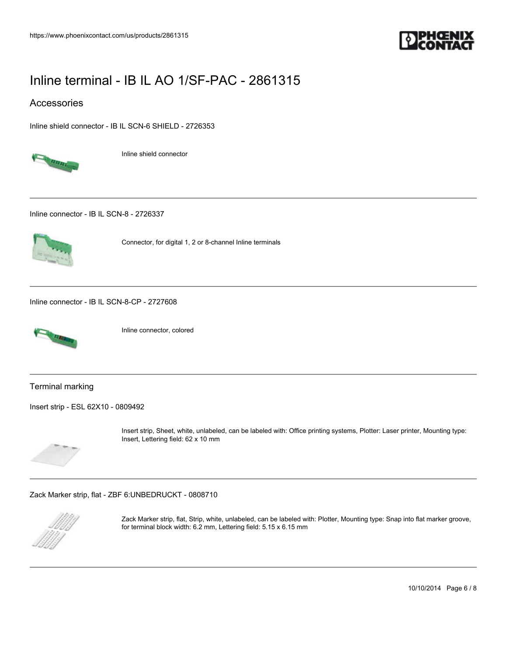

### Accessories

[Inline shield connector - IB IL SCN-6 SHIELD - 2726353](https://www.phoenixcontact.com/us/products/2726353)



Inline shield connector

[Inline connector - IB IL SCN-8 - 2726337](https://www.phoenixcontact.com/us/products/2726337)



Connector, for digital 1, 2 or 8-channel Inline terminals

[Inline connector - IB IL SCN-8-CP - 2727608](https://www.phoenixcontact.com/us/products/2727608)



Inline connector, colored

Terminal marking

[Insert strip - ESL 62X10 - 0809492](https://www.phoenixcontact.com/us/products/0809492)



Insert strip, Sheet, white, unlabeled, can be labeled with: Office printing systems, Plotter: Laser printer, Mounting type: Insert, Lettering field: 62 x 10 mm

[Zack Marker strip, flat - ZBF 6:UNBEDRUCKT - 0808710](https://www.phoenixcontact.com/us/products/0808710)



Zack Marker strip, flat, Strip, white, unlabeled, can be labeled with: Plotter, Mounting type: Snap into flat marker groove, for terminal block width: 6.2 mm, Lettering field: 5.15 x 6.15 mm

10/10/2014 Page 6 / 8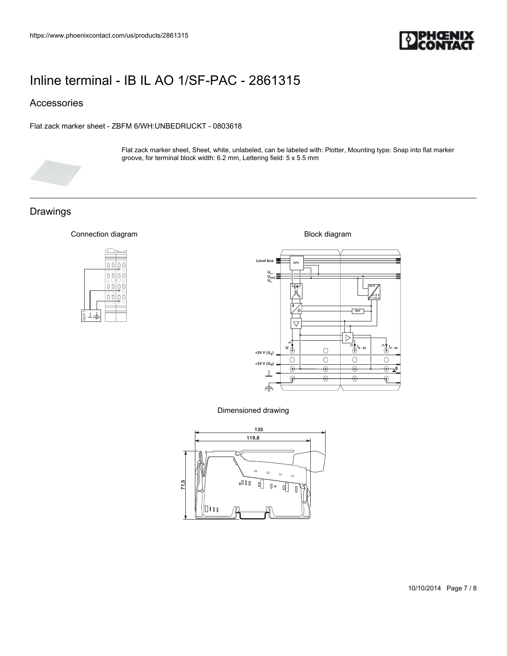

## Accessories

#### [Flat zack marker sheet - ZBFM 6/WH:UNBEDRUCKT - 0803618](https://www.phoenixcontact.com/us/products/0803618)



Flat zack marker sheet, Sheet, white, unlabeled, can be labeled with: Plotter, Mounting type: Snap into flat marker groove, for terminal block width: 6.2 mm, Lettering field: 5 x 5.5 mm

## Drawings

#### Connection diagram





Dimensioned drawing